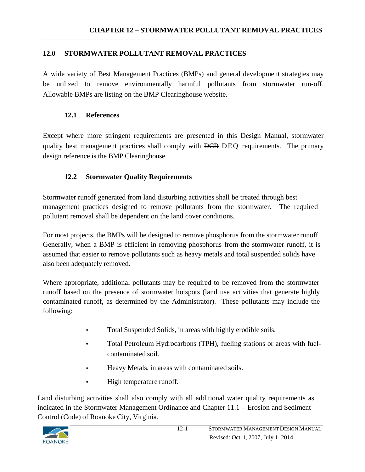### **12.0 STORMWATER POLLUTANT REMOVAL PRACTICES**

A wide variety of Best Management Practices (BMPs) and general development strategies may be utilized to remove environmentally harmful pollutants from stormwater run-off. Allowable BMPs are listing on the BMP Clearinghouse website.

## **12.1 References**

Except where more stringent requirements are presented in this Design Manual, stormwater quality best management practices shall comply with DCR DEQ requirements. The primary design reference is the BMP Clearinghouse.

# **12.2 Stormwater Quality Requirements**

Stormwater runoff generated from land disturbing activities shall be treated through best management practices designed to remove pollutants from the stormwater. The required pollutant removal shall be dependent on the land cover conditions.

For most projects, the BMPs will be designed to remove phosphorus from the stormwater runoff. Generally, when a BMP is efficient in removing phosphorus from the stormwater runoff, it is assumed that easier to remove pollutants such as heavy metals and total suspended solids have also been adequately removed.

Where appropriate, additional pollutants may be required to be removed from the stormwater runoff based on the presence of stormwater hotspots (land use activities that generate highly contaminated runoff, as determined by the Administrator). These pollutants may include the following:

- Total Suspended Solids, in areas with highly erodible soils.
- Total Petroleum Hydrocarbons (TPH), fueling stations or areas with fuelcontaminated soil.
- Heavy Metals, in areas with contaminated soils.
- High temperature runoff.

Land disturbing activities shall also comply with all additional water quality requirements as indicated in the Stormwater Management Ordinance and Chapter 11.1 – Erosion and Sediment Control (Code) of Roanoke City, Virginia.